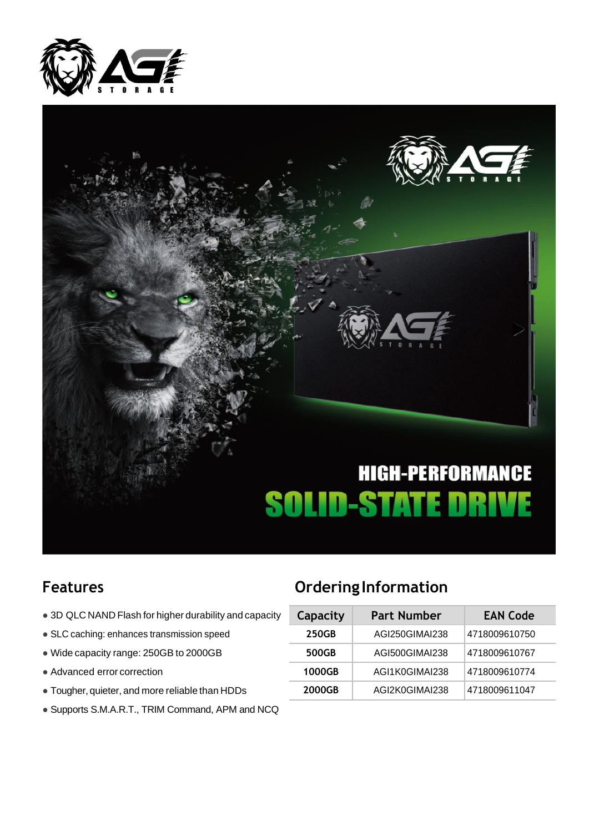



- $\bullet$  3D QLC NAND Flash for higher durability and capacity
- **SLC caching: enhances transmission speed**
- $\bullet$  Wide capacity range: 250GB to 2000GB
- $\bullet$  Advanced error correction
- $\bullet$  Tougher, quieter, and more reliable than HDDs
- Supports S.M.A.R.T., TRIM Command, APM and NCQ

### **Features Ordering Information**

| Capacity | <b>Part Number</b> | <b>EAN Code</b> |  |  |
|----------|--------------------|-----------------|--|--|
| 250GB    | AGI250GIMAI238     | 4718009610750   |  |  |
| 500GB    | AGI500GIMAI238     | 4718009610767   |  |  |
| 1000GB   | AGI1K0GIMAI238     | 4718009610774   |  |  |
| 2000GB   | AGI2K0GIMAI238     | 4718009611047   |  |  |